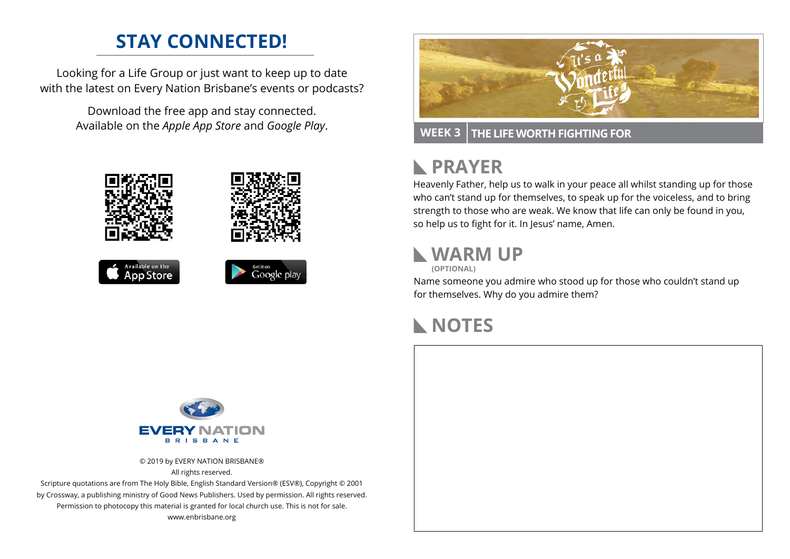#### **STAY CONNECTED!**

Looking for a Life Group or just want to keep up to date with the latest on Every Nation Brisbane's events or podcasts?

> Download the free app and stay connected. Available on the *Apple App Store* and *Google Play*.





#### **WEEK 3 THE LIFE WORTH FIGHTING FOR**

#### **PRAYER**  $\mathbb{R}$

Heavenly Father, help us to walk in your peace all whilst standing up for those who can't stand up for themselves, to speak up for the voiceless, and to bring strength to those who are weak. We know that life can only be found in you, so help us to fight for it. In Jesus' name, Amen.

#### **WARM UP**

**(OPTIONAL)**

Name someone you admire who stood up for those who couldn't stand up for themselves. Why do you admire them?

## **NOTES**



© 2019 by EVERY NATION BRISBANE® All rights reserved.

Scripture quotations are from The Holy Bible, English Standard Version® (ESV®), Copyright © 2001 by Crossway, a publishing ministry of Good News Publishers. Used by permission. All rights reserved. Permission to photocopy this material is granted for local church use. This is not for sale. www.enbrisbane.org